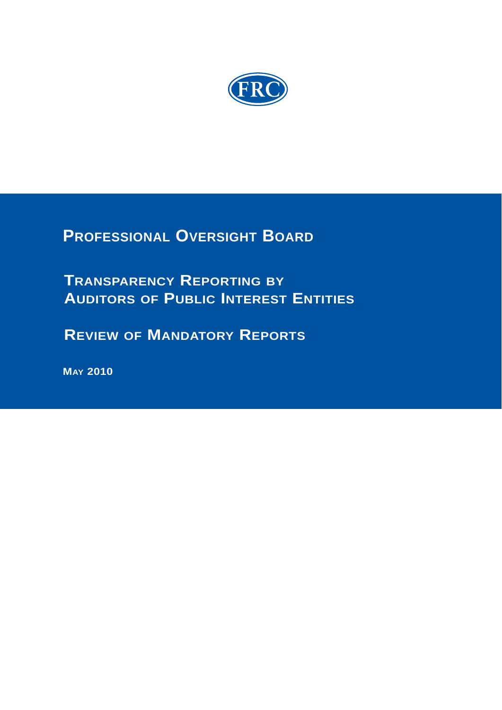

**PROFESSIONAL OVERSIGHT BOARD**

**TRANSPARENCY REPORTING BY AUDITORS OF PUBLIC INTEREST ENTITIES**

 **REVIEW OF MANDATORY REPORTS**

 **MAY 2010**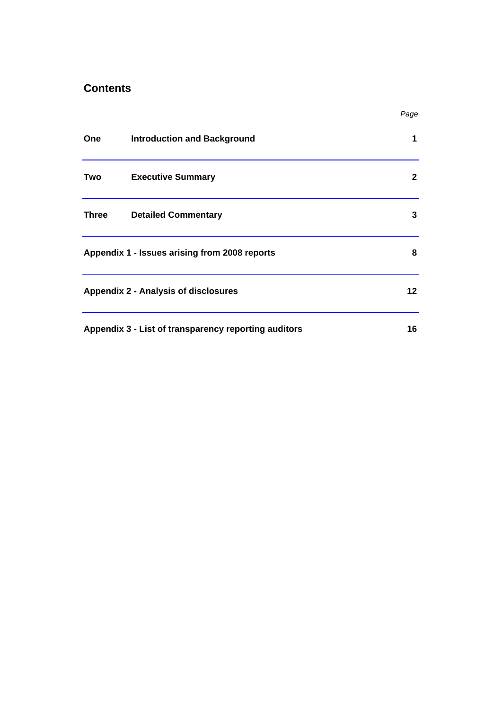# **Contents**

|              |                                                      | Page         |
|--------------|------------------------------------------------------|--------------|
| <b>One</b>   | <b>Introduction and Background</b>                   | 1            |
| Two          | <b>Executive Summary</b>                             | $\mathbf{2}$ |
| <b>Three</b> | <b>Detailed Commentary</b>                           | 3            |
|              | Appendix 1 - Issues arising from 2008 reports        | 8            |
|              | Appendix 2 - Analysis of disclosures                 | 12           |
|              | Appendix 3 - List of transparency reporting auditors | 16           |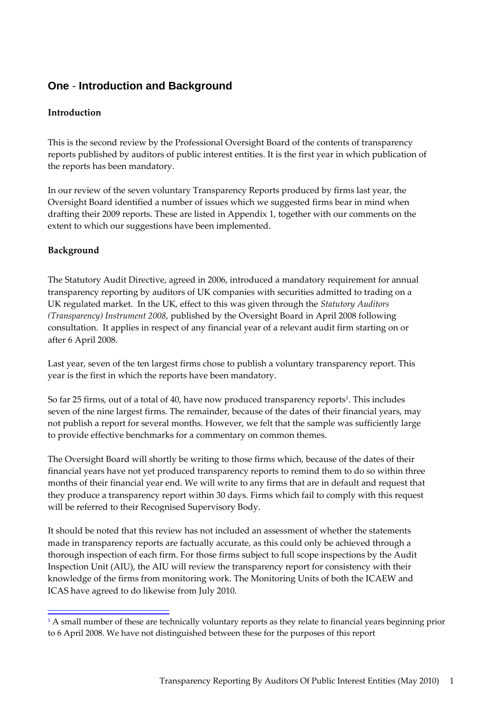# **One** - **Introduction and Background**

#### **Introduction**

This is the second review by the Professional Oversight Board of the contents of transparency reports published by auditors of public interest entities. It is the first year in which publication of the reports has been mandatory.

In our review of the seven voluntary Transparency Reports produced by firms last year, the Oversight Board identified a number of issues which we suggested firms bear in mind when drafting their 2009 reports. These are listed in Appendix 1, together with our comments on the extent to which our suggestions have been implemented.

### **Background**

The Statutory Audit Directive, agreed in 2006, introduced a mandatory requirement for annual transparency reporting by auditors of UK companies with securities admitted to trading on a UK regulated market. In the UK, effect to this was given through the *Statutory Auditors (Transparency) Instrument 2008*, published by the Oversight Board in April 2008 following consultation. It applies in respect of any financial year of a relevant audit firm starting on or after 6 April 2008.

Last year, seven of the ten largest firms chose to publish a voluntary transparency report. This year is the first in which the reports have been mandatory.

So far 25 firms, out of a total of 40, have now produced transparency reports<sup>1</sup>. This includes seven of the nine largest firms. The remainder, because of the dates of their financial years, may not publish a report for several months. However, we felt that the sample was sufficiently large to provide effective benchmarks for a commentary on common themes.

The Oversight Board will shortly be writing to those firms which, because of the dates of their financial years have not yet produced transparency reports to remind them to do so within three months of their financial year end. We will write to any firms that are in default and request that they produce a transparency report within 30 days. Firms which fail to comply with this request will be referred to their Recognised Supervisory Body.

It should be noted that this review has not included an assessment of whether the statements made in transparency reports are factually accurate, as this could only be achieved through a thorough inspection of each firm. For those firms subject to full scope inspections by the Audit Inspection Unit (AIU), the AIU will review the transparency report for consistency with their knowledge of the firms from monitoring work. The Monitoring Units of both the ICAEW and ICAS have agreed to do likewise from July 2010.

<sup>&</sup>lt;sup>1</sup> A small number of these are technically voluntary reports as they relate to financial years beginning prior to 6 April 2008. We have not distinguished between these for the purposes of this report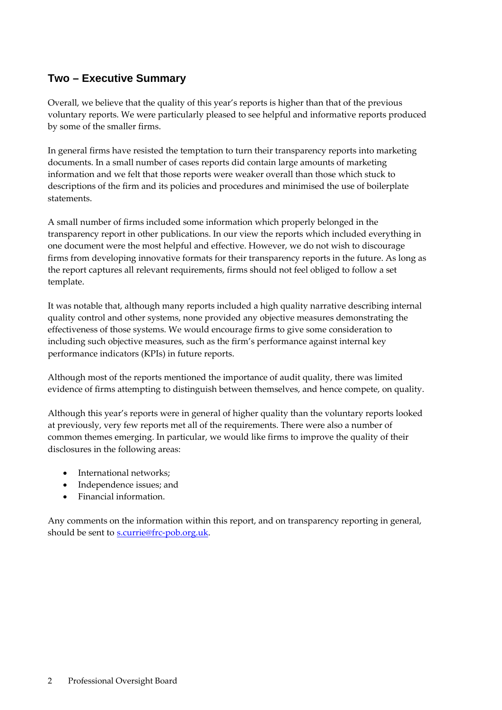# **Two – Executive Summary**

Overall, we believe that the quality of this year's reports is higher than that of the previous voluntary reports. We were particularly pleased to see helpful and informative reports produced by some of the smaller firms.

In general firms have resisted the temptation to turn their transparency reports into marketing documents. In a small number of cases reports did contain large amounts of marketing information and we felt that those reports were weaker overall than those which stuck to descriptions of the firm and its policies and procedures and minimised the use of boilerplate statements.

A small number of firms included some information which properly belonged in the transparency report in other publications. In our view the reports which included everything in one document were the most helpful and effective. However, we do not wish to discourage firms from developing innovative formats for their transparency reports in the future. As long as the report captures all relevant requirements, firms should not feel obliged to follow a set template.

It was notable that, although many reports included a high quality narrative describing internal quality control and other systems, none provided any objective measures demonstrating the effectiveness of those systems. We would encourage firms to give some consideration to including such objective measures, such as the firm's performance against internal key performance indicators (KPIs) in future reports.

Although most of the reports mentioned the importance of audit quality, there was limited evidence of firms attempting to distinguish between themselves, and hence compete, on quality.

Although this year's reports were in general of higher quality than the voluntary reports looked at previously, very few reports met all of the requirements. There were also a number of common themes emerging. In particular, we would like firms to improve the quality of their disclosures in the following areas:

- International networks;
- Independence issues; and
- Financial information.

Any comments on the information within this report, and on transparency reporting in general, should be sent to s.currie@frc-pob.org.uk.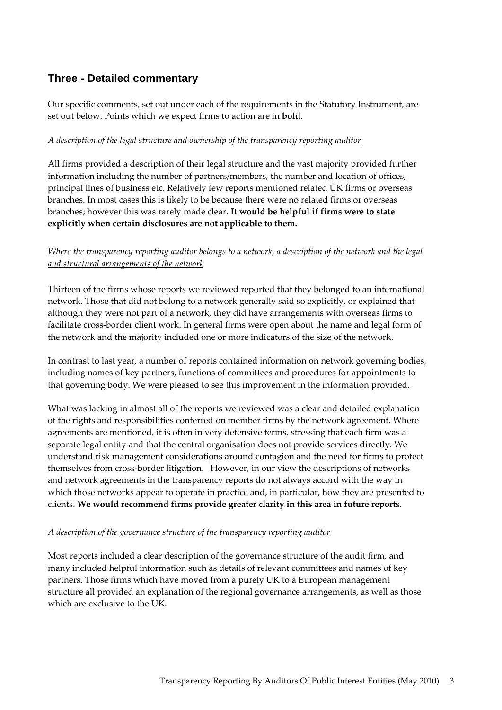# **Three - Detailed commentary**

Our specific comments, set out under each of the requirements in the Statutory Instrument, are set out below. Points which we expect firms to action are in **bold**.

#### *A description of the legal structure and ownership of the transparency reporting auditor*

All firms provided a description of their legal structure and the vast majority provided further information including the number of partners/members, the number and location of offices, principal lines of business etc. Relatively few reports mentioned related UK firms or overseas branches. In most cases this is likely to be because there were no related firms or overseas branches; however this was rarely made clear. **It would be helpful if firms were to state explicitly when certain disclosures are not applicable to them.**

#### *Where the transparency reporting auditor belongs to a network, a description of the network and the legal and structural arrangements of the network*

Thirteen of the firms whose reports we reviewed reported that they belonged to an international network. Those that did not belong to a network generally said so explicitly, or explained that although they were not part of a network, they did have arrangements with overseas firms to facilitate cross‐border client work. In general firms were open about the name and legal form of the network and the majority included one or more indicators of the size of the network.

In contrast to last year, a number of reports contained information on network governing bodies, including names of key partners, functions of committees and procedures for appointments to that governing body. We were pleased to see this improvement in the information provided.

What was lacking in almost all of the reports we reviewed was a clear and detailed explanation of the rights and responsibilities conferred on member firms by the network agreement. Where agreements are mentioned, it is often in very defensive terms, stressing that each firm was a separate legal entity and that the central organisation does not provide services directly. We understand risk management considerations around contagion and the need for firms to protect themselves from cross‐border litigation. However, in our view the descriptions of networks and network agreements in the transparency reports do not always accord with the way in which those networks appear to operate in practice and, in particular, how they are presented to clients. **We would recommend firms provide greater clarity in this area in future reports**.

#### *A description of the governance structure of the transparency reporting auditor*

Most reports included a clear description of the governance structure of the audit firm, and many included helpful information such as details of relevant committees and names of key partners. Those firms which have moved from a purely UK to a European management structure all provided an explanation of the regional governance arrangements, as well as those which are exclusive to the UK.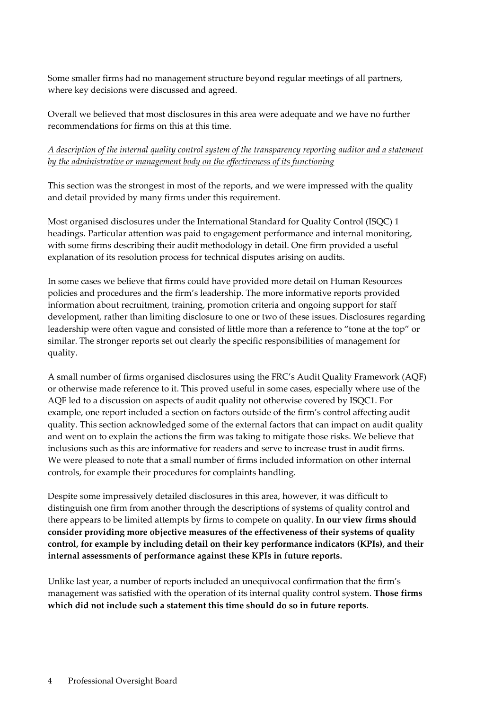Some smaller firms had no management structure beyond regular meetings of all partners, where key decisions were discussed and agreed.

Overall we believed that most disclosures in this area were adequate and we have no further recommendations for firms on this at this time.

#### *A description of the internal quality control system of the transparency reporting auditor and a statement by the administrative or management body on the effectiveness of its functioning*

This section was the strongest in most of the reports, and we were impressed with the quality and detail provided by many firms under this requirement.

Most organised disclosures under the International Standard for Quality Control (ISQC) 1 headings. Particular attention was paid to engagement performance and internal monitoring, with some firms describing their audit methodology in detail. One firm provided a useful explanation of its resolution process for technical disputes arising on audits.

In some cases we believe that firms could have provided more detail on Human Resources policies and procedures and the firm's leadership. The more informative reports provided information about recruitment, training, promotion criteria and ongoing support for staff development, rather than limiting disclosure to one or two of these issues. Disclosures regarding leadership were often vague and consisted of little more than a reference to "tone at the top" or similar. The stronger reports set out clearly the specific responsibilities of management for quality.

A small number of firms organised disclosures using the FRC's Audit Quality Framework (AQF) or otherwise made reference to it. This proved useful in some cases, especially where use of the AQF led to a discussion on aspects of audit quality not otherwise covered by ISQC1. For example, one report included a section on factors outside of the firm's control affecting audit quality. This section acknowledged some of the external factors that can impact on audit quality and went on to explain the actions the firm was taking to mitigate those risks. We believe that inclusions such as this are informative for readers and serve to increase trust in audit firms. We were pleased to note that a small number of firms included information on other internal controls, for example their procedures for complaints handling.

Despite some impressively detailed disclosures in this area, however, it was difficult to distinguish one firm from another through the descriptions of systems of quality control and there appears to be limited attempts by firms to compete on quality. **In our view firms should consider providing more objective measures of the effectiveness of their systems of quality control, for example by including detail on their key performance indicators (KPIs), and their internal assessments of performance against these KPIs in future reports.**

Unlike last year, a number of reports included an unequivocal confirmation that the firm's management was satisfied with the operation of its internal quality control system. **Those firms which did not include such a statement this time should do so in future reports**.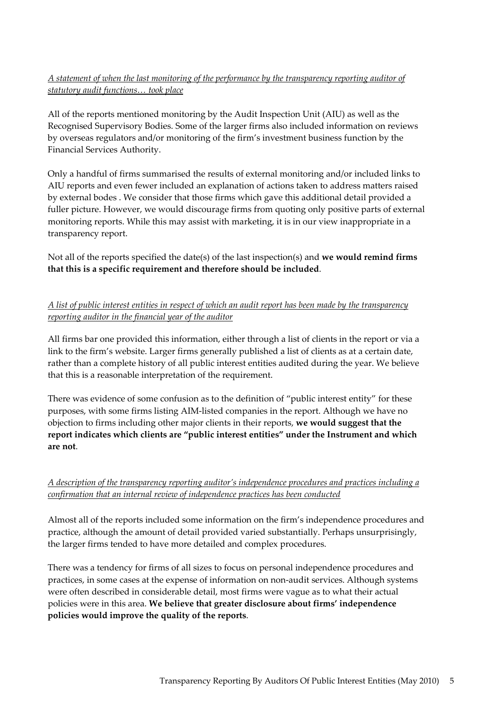## *A statement of when the last monitoring of the performance by the transparency reporting auditor of statutory audit functions… took place*

All of the reports mentioned monitoring by the Audit Inspection Unit (AIU) as well as the Recognised Supervisory Bodies. Some of the larger firms also included information on reviews by overseas regulators and/or monitoring of the firm's investment business function by the Financial Services Authority.

Only a handful of firms summarised the results of external monitoring and/or included links to AIU reports and even fewer included an explanation of actions taken to address matters raised by external bodes . We consider that those firms which gave this additional detail provided a fuller picture. However, we would discourage firms from quoting only positive parts of external monitoring reports. While this may assist with marketing, it is in our view inappropriate in a transparency report.

Not all of the reports specified the date(s) of the last inspection(s) and **we would remind firms that this is a specific requirement and therefore should be included**.

## A list of public interest entities in respect of which an audit report has been made by the transparency *reporting auditor in the financial year of the auditor*

All firms bar one provided this information, either through a list of clients in the report or via a link to the firm's website. Larger firms generally published a list of clients as at a certain date, rather than a complete history of all public interest entities audited during the year. We believe that this is a reasonable interpretation of the requirement.

There was evidence of some confusion as to the definition of "public interest entity" for these purposes, with some firms listing AIM‐listed companies in the report. Although we have no objection to firms including other major clients in their reports, **we would suggest that the report indicates which clients are "public interest entities" under the Instrument and which are not**.

## *A description of the transparency reporting auditor's independence procedures and practices including a confirmation that an internal review of independence practices has been conducted*

Almost all of the reports included some information on the firm's independence procedures and practice, although the amount of detail provided varied substantially. Perhaps unsurprisingly, the larger firms tended to have more detailed and complex procedures.

There was a tendency for firms of all sizes to focus on personal independence procedures and practices, in some cases at the expense of information on non-audit services. Although systems were often described in considerable detail, most firms were vague as to what their actual policies were in this area. **We believe that greater disclosure about firms' independence policies would improve the quality of the reports**.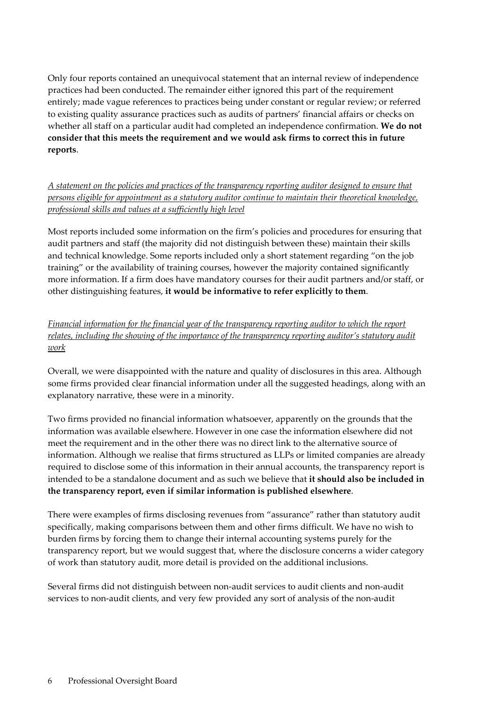Only four reports contained an unequivocal statement that an internal review of independence practices had been conducted. The remainder either ignored this part of the requirement entirely; made vague references to practices being under constant or regular review; or referred to existing quality assurance practices such as audits of partners' financial affairs or checks on whether all staff on a particular audit had completed an independence confirmation. **We do not consider that this meets the requirement and we would ask firms to correct this in future reports**.

*A statement on the policies and practices of the transparency reporting auditor designed to ensure that persons eligible for appointment as a statutory auditor continue to maintain their theoretical knowledge, professional skills and values at a sufficiently high level*

Most reports included some information on the firm's policies and procedures for ensuring that audit partners and staff (the majority did not distinguish between these) maintain their skills and technical knowledge. Some reports included only a short statement regarding "on the job training" or the availability of training courses, however the majority contained significantly more information. If a firm does have mandatory courses for their audit partners and/or staff, or other distinguishing features, **it would be informative to refer explicitly to them**.

*Financial information for the financial year of the transparency reporting auditor to which the report relates, including the showing of the importance of the transparency reporting auditor's statutory audit work*

Overall, we were disappointed with the nature and quality of disclosures in this area. Although some firms provided clear financial information under all the suggested headings, along with an explanatory narrative, these were in a minority.

Two firms provided no financial information whatsoever, apparently on the grounds that the information was available elsewhere. However in one case the information elsewhere did not meet the requirement and in the other there was no direct link to the alternative source of information. Although we realise that firms structured as LLPs or limited companies are already required to disclose some of this information in their annual accounts, the transparency report is intended to be a standalone document and as such we believe that **it should also be included in the transparency report, even if similar information is published elsewhere**.

There were examples of firms disclosing revenues from "assurance" rather than statutory audit specifically, making comparisons between them and other firms difficult. We have no wish to burden firms by forcing them to change their internal accounting systems purely for the transparency report, but we would suggest that, where the disclosure concerns a wider category of work than statutory audit, more detail is provided on the additional inclusions.

Several firms did not distinguish between non‐audit services to audit clients and non‐audit services to non-audit clients, and very few provided any sort of analysis of the non-audit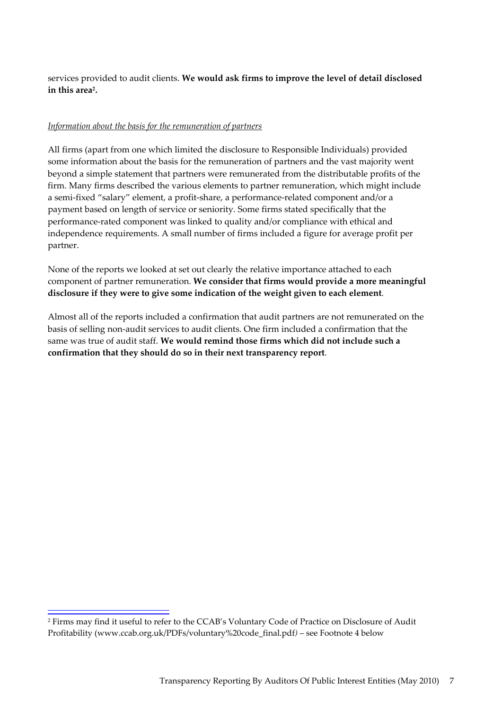services provided to audit clients. **We would ask firms to improve the level of detail disclosed in this area2.**

#### *Information about the basis for the remuneration of partners*

All firms (apart from one which limited the disclosure to Responsible Individuals) provided some information about the basis for the remuneration of partners and the vast majority went beyond a simple statement that partners were remunerated from the distributable profits of the firm. Many firms described the various elements to partner remuneration, which might include a semi‐fixed "salary" element, a profit‐share, a performance‐related component and/or a payment based on length of service or seniority. Some firms stated specifically that the performance‐rated component was linked to quality and/or compliance with ethical and independence requirements. A small number of firms included a figure for average profit per partner.

None of the reports we looked at set out clearly the relative importance attached to each component of partner remuneration. **We consider that firms would provide a more meaningful disclosure if they were to give some indication of the weight given to each element**.

Almost all of the reports included a confirmation that audit partners are not remunerated on the basis of selling non‐audit services to audit clients. One firm included a confirmation that the same was true of audit staff. **We would remind those firms which did not include such a confirmation that they should do so in their next transparency report**.

<sup>2</sup> Firms may find it useful to refer to the CCAB's Voluntary Code of Practice on Disclosure of Audit Profitability (www.ccab.org.uk/PDFs/voluntary%20code\_final.pdf*)* – see Footnote 4 below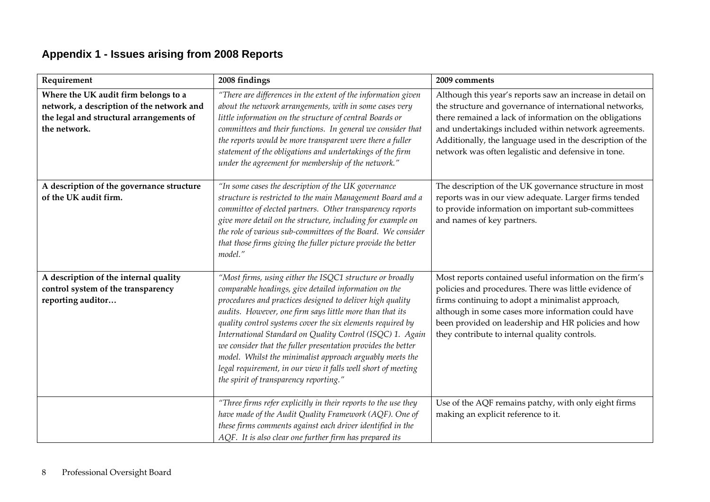# **Appendix 1 - Issues arising from 2008 Reports**

| Requirement                                                                                                                                   | 2008 findings                                                                                                                                                                                                                                                                                                                                                                                                                                                                                                                                                                                                | 2009 comments                                                                                                                                                                                                                                                                                                                                               |
|-----------------------------------------------------------------------------------------------------------------------------------------------|--------------------------------------------------------------------------------------------------------------------------------------------------------------------------------------------------------------------------------------------------------------------------------------------------------------------------------------------------------------------------------------------------------------------------------------------------------------------------------------------------------------------------------------------------------------------------------------------------------------|-------------------------------------------------------------------------------------------------------------------------------------------------------------------------------------------------------------------------------------------------------------------------------------------------------------------------------------------------------------|
| Where the UK audit firm belongs to a<br>network, a description of the network and<br>the legal and structural arrangements of<br>the network. | "There are differences in the extent of the information given<br>about the network arrangements, with in some cases very<br>little information on the structure of central Boards or<br>committees and their functions. In general we consider that<br>the reports would be more transparent were there a fuller<br>statement of the obligations and undertakings of the firm<br>under the agreement for membership of the network."                                                                                                                                                                         | Although this year's reports saw an increase in detail on<br>the structure and governance of international networks,<br>there remained a lack of information on the obligations<br>and undertakings included within network agreements.<br>Additionally, the language used in the description of the<br>network was often legalistic and defensive in tone. |
| A description of the governance structure<br>of the UK audit firm.                                                                            | "In some cases the description of the UK governance<br>structure is restricted to the main Management Board and a<br>committee of elected partners. Other transparency reports<br>give more detail on the structure, including for example on<br>the role of various sub-committees of the Board. We consider<br>that those firms giving the fuller picture provide the better<br>model."                                                                                                                                                                                                                    | The description of the UK governance structure in most<br>reports was in our view adequate. Larger firms tended<br>to provide information on important sub-committees<br>and names of key partners.                                                                                                                                                         |
| A description of the internal quality<br>control system of the transparency<br>reporting auditor                                              | "Most firms, using either the ISQC1 structure or broadly<br>comparable headings, give detailed information on the<br>procedures and practices designed to deliver high quality<br>audits. However, one firm says little more than that its<br>quality control systems cover the six elements required by<br>International Standard on Quality Control (ISQC) 1. Again<br>we consider that the fuller presentation provides the better<br>model. Whilst the minimalist approach arguably meets the<br>legal requirement, in our view it falls well short of meeting<br>the spirit of transparency reporting." | Most reports contained useful information on the firm's<br>policies and procedures. There was little evidence of<br>firms continuing to adopt a minimalist approach,<br>although in some cases more information could have<br>been provided on leadership and HR policies and how<br>they contribute to internal quality controls.                          |
|                                                                                                                                               | "Three firms refer explicitly in their reports to the use they<br>have made of the Audit Quality Framework (AQF). One of<br>these firms comments against each driver identified in the<br>AQF. It is also clear one further firm has prepared its                                                                                                                                                                                                                                                                                                                                                            | Use of the AQF remains patchy, with only eight firms<br>making an explicit reference to it.                                                                                                                                                                                                                                                                 |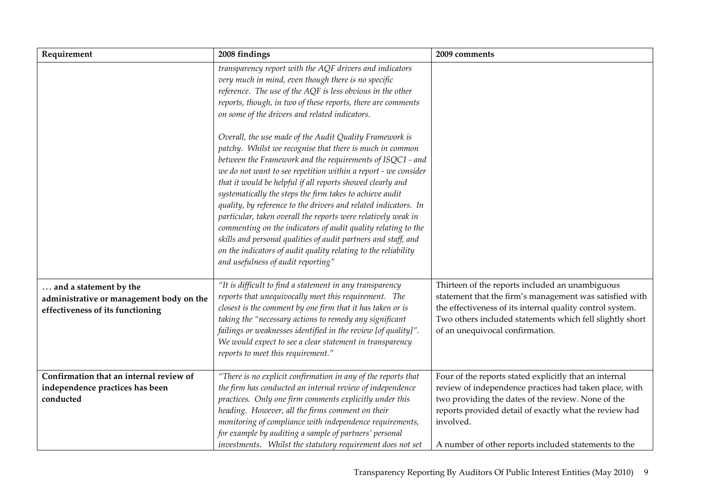| Requirement                                                                                            | 2008 findings                                                                                                                                                                                                                                                                                                                                                                                                                                                                                                                                                                                                                                                                                                                                               | 2009 comments                                                                                                                                                                                                                                                                                         |
|--------------------------------------------------------------------------------------------------------|-------------------------------------------------------------------------------------------------------------------------------------------------------------------------------------------------------------------------------------------------------------------------------------------------------------------------------------------------------------------------------------------------------------------------------------------------------------------------------------------------------------------------------------------------------------------------------------------------------------------------------------------------------------------------------------------------------------------------------------------------------------|-------------------------------------------------------------------------------------------------------------------------------------------------------------------------------------------------------------------------------------------------------------------------------------------------------|
|                                                                                                        | transparency report with the AQF drivers and indicators<br>very much in mind, even though there is no specific<br>reference. The use of the AQF is less obvious in the other<br>reports, though, in two of these reports, there are comments<br>on some of the drivers and related indicators.                                                                                                                                                                                                                                                                                                                                                                                                                                                              |                                                                                                                                                                                                                                                                                                       |
|                                                                                                        | Overall, the use made of the Audit Quality Framework is<br>patchy. Whilst we recognise that there is much in common<br>between the Framework and the requirements of ISQC1 - and<br>we do not want to see repetition within a report - we consider<br>that it would be helpful if all reports showed clearly and<br>systematically the steps the firm takes to achieve audit<br>quality, by reference to the drivers and related indicators. In<br>particular, taken overall the reports were relatively weak in<br>commenting on the indicators of audit quality relating to the<br>skills and personal qualities of audit partners and staff, and<br>on the indicators of audit quality relating to the reliability<br>and usefulness of audit reporting" |                                                                                                                                                                                                                                                                                                       |
| and a statement by the<br>administrative or management body on the<br>effectiveness of its functioning | "It is difficult to find a statement in any transparency<br>reports that unequivocally meet this requirement. The<br>closest is the comment by one firm that it has taken or is<br>taking the "necessary actions to remedy any significant<br>failings or weaknesses identified in the review [of quality]".<br>We would expect to see a clear statement in transparency<br>reports to meet this requirement."                                                                                                                                                                                                                                                                                                                                              | Thirteen of the reports included an unambiguous<br>statement that the firm's management was satisfied with<br>the effectiveness of its internal quality control system.<br>Two others included statements which fell slightly short<br>of an unequivocal confirmation.                                |
| Confirmation that an internal review of<br>independence practices has been<br>conducted                | "There is no explicit confirmation in any of the reports that<br>the firm has conducted an internal review of independence<br>practices. Only one firm comments explicitly under this<br>heading. However, all the firms comment on their<br>monitoring of compliance with independence requirements,<br>for example by auditing a sample of partners' personal<br>investments. Whilst the statutory requirement does not set                                                                                                                                                                                                                                                                                                                               | Four of the reports stated explicitly that an internal<br>review of independence practices had taken place, with<br>two providing the dates of the review. None of the<br>reports provided detail of exactly what the review had<br>involved.<br>A number of other reports included statements to the |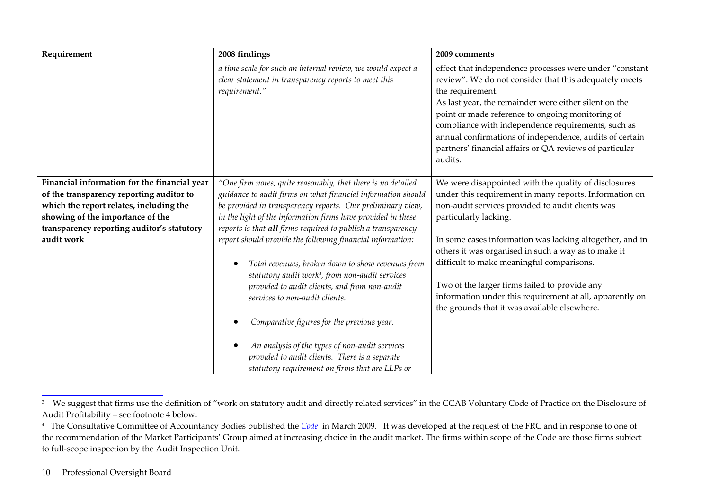| Requirement                                                                                                                                                                                                                         | 2008 findings                                                                                                                                                                                                                                                                                                                                                                                                                                                                                                                                                                                                                                                                                                                                                                                        | 2009 comments                                                                                                                                                                                                                                                                                                                                                                                                                                                                                                            |
|-------------------------------------------------------------------------------------------------------------------------------------------------------------------------------------------------------------------------------------|------------------------------------------------------------------------------------------------------------------------------------------------------------------------------------------------------------------------------------------------------------------------------------------------------------------------------------------------------------------------------------------------------------------------------------------------------------------------------------------------------------------------------------------------------------------------------------------------------------------------------------------------------------------------------------------------------------------------------------------------------------------------------------------------------|--------------------------------------------------------------------------------------------------------------------------------------------------------------------------------------------------------------------------------------------------------------------------------------------------------------------------------------------------------------------------------------------------------------------------------------------------------------------------------------------------------------------------|
|                                                                                                                                                                                                                                     | a time scale for such an internal review, we would expect a<br>clear statement in transparency reports to meet this<br>requirement."                                                                                                                                                                                                                                                                                                                                                                                                                                                                                                                                                                                                                                                                 | effect that independence processes were under "constant<br>review". We do not consider that this adequately meets<br>the requirement.<br>As last year, the remainder were either silent on the<br>point or made reference to ongoing monitoring of<br>compliance with independence requirements, such as<br>annual confirmations of independence, audits of certain<br>partners' financial affairs or QA reviews of particular<br>audits.                                                                                |
| Financial information for the financial year<br>of the transparency reporting auditor to<br>which the report relates, including the<br>showing of the importance of the<br>transparency reporting auditor's statutory<br>audit work | "One firm notes, quite reasonably, that there is no detailed<br>guidance to audit firms on what financial information should<br>be provided in transparency reports. Our preliminary view,<br>in the light of the information firms have provided in these<br>reports is that all firms required to publish a transparency<br>report should provide the following financial information:<br>Total revenues, broken down to show revenues from<br>statutory audit work <sup>3</sup> , from non-audit services<br>provided to audit clients, and from non-audit<br>services to non-audit clients.<br>Comparative figures for the previous year.<br>An analysis of the types of non-audit services<br>provided to audit clients. There is a separate<br>statutory requirement on firms that are LLPs or | We were disappointed with the quality of disclosures<br>under this requirement in many reports. Information on<br>non-audit services provided to audit clients was<br>particularly lacking.<br>In some cases information was lacking altogether, and in<br>others it was organised in such a way as to make it<br>difficult to make meaningful comparisons.<br>Two of the larger firms failed to provide any<br>information under this requirement at all, apparently on<br>the grounds that it was available elsewhere. |

<sup>&</sup>lt;sup>3</sup> We suggest that firms use the definition of "work on statutory audit and directly related services" in the CCAB Voluntary Code of Practice on the Disclosure of Audit Profitability – see footnote <sup>4</sup> below.

<sup>4</sup> The Consultative Committee of Accountancy Bodies published the *Code* in March 2009. It was developed at the reques<sup>t</sup> of the FRC and in response to one of the recommendation of the Market Participants' Group aimed at increasing choice in the audit market. The firms within scope of the Code are those firms subject to full‐scope inspection by the Audit Inspection Unit.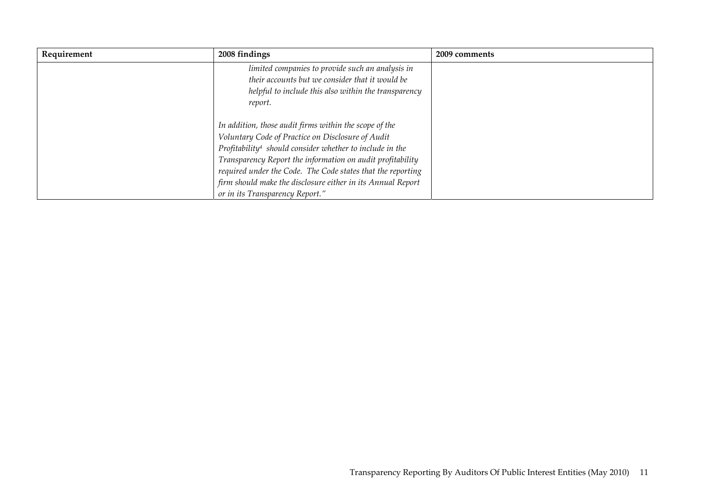| Requirement | 2008 findings                                                        | 2009 comments |
|-------------|----------------------------------------------------------------------|---------------|
|             | limited companies to provide such an analysis in                     |               |
|             | their accounts but we consider that it would be                      |               |
|             | helpful to include this also within the transparency                 |               |
|             | report.                                                              |               |
|             | In addition, those audit firms within the scope of the               |               |
|             | Voluntary Code of Practice on Disclosure of Audit                    |               |
|             | Profitability <sup>4</sup> should consider whether to include in the |               |
|             | Transparency Report the information on audit profitability           |               |
|             | required under the Code. The Code states that the reporting          |               |
|             | firm should make the disclosure either in its Annual Report          |               |
|             | or in its Transparency Report."                                      |               |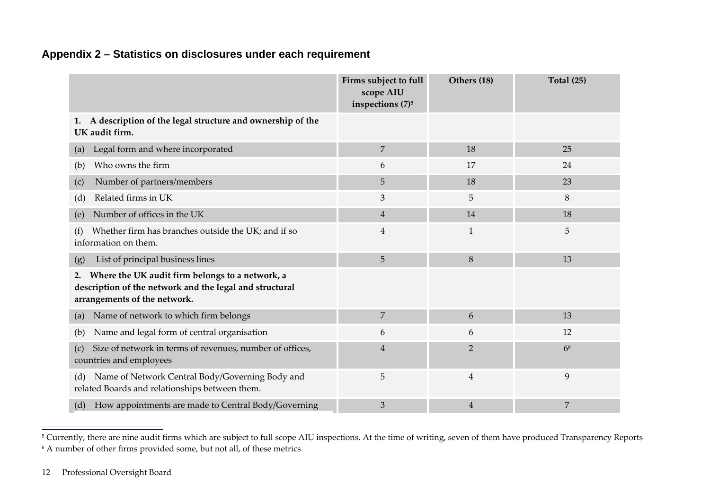# **Appendix 2 – Statistics on disclosures under each requirement**

|                                                                                                                                                  | Firms subject to full<br>scope AIU<br>inspections (7) <sup>5</sup> | Others (18)    | <b>Total (25)</b> |
|--------------------------------------------------------------------------------------------------------------------------------------------------|--------------------------------------------------------------------|----------------|-------------------|
| A description of the legal structure and ownership of the<br>1.<br>UK audit firm.                                                                |                                                                    |                |                   |
| Legal form and where incorporated<br>(a)                                                                                                         | $\overline{7}$                                                     | 18             | 25                |
| Who owns the firm<br>(b)                                                                                                                         | 6                                                                  | 17             | 24                |
| Number of partners/members<br>(c)                                                                                                                | 5                                                                  | 18             | 23                |
| Related firms in UK<br>(d)                                                                                                                       | 3                                                                  | 5              | 8                 |
| Number of offices in the UK<br>(e)                                                                                                               | $\overline{4}$                                                     | 14             | 18                |
| Whether firm has branches outside the UK; and if so<br>(f)<br>information on them.                                                               | 4                                                                  | $\mathbf{1}$   | 5                 |
| List of principal business lines<br>(g)                                                                                                          | 5                                                                  | 8              | 13                |
| Where the UK audit firm belongs to a network, a<br>2.<br>description of the network and the legal and structural<br>arrangements of the network. |                                                                    |                |                   |
| Name of network to which firm belongs<br>(a)                                                                                                     | 7                                                                  | 6              | 13                |
| Name and legal form of central organisation<br>(b)                                                                                               | 6                                                                  | 6              | 12                |
| Size of network in terms of revenues, number of offices,<br>(c)<br>countries and employees                                                       | $\overline{4}$                                                     | $\overline{2}$ | 6 <sup>6</sup>    |
| Name of Network Central Body/Governing Body and<br>(d)<br>related Boards and relationships between them.                                         | 5                                                                  | 4              | 9                 |
| How appointments are made to Central Body/Governing<br>(d)                                                                                       | 3                                                                  | 4              | 7                 |

<sup>&</sup>lt;sup>5</sup> Currently, there are nine audit firms which are subject to full scope AIU inspections. At the time of writing, seven of them have produced Transparency Reports 6 A number of other firms provided some, but not all, of these metrics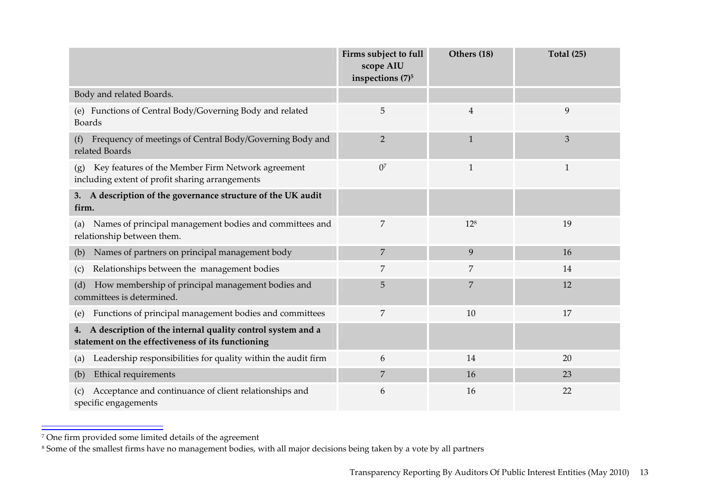|                                                                                                                       | Firms subject to full<br>scope AIU<br>inspections (7) <sup>5</sup> | Others (18)    | <b>Total (25)</b> |
|-----------------------------------------------------------------------------------------------------------------------|--------------------------------------------------------------------|----------------|-------------------|
| Body and related Boards.                                                                                              |                                                                    |                |                   |
| (e) Functions of Central Body/Governing Body and related<br><b>Boards</b>                                             | 5                                                                  | $\overline{4}$ | 9                 |
| Frequency of meetings of Central Body/Governing Body and<br>(f)<br>related Boards                                     | $\overline{2}$                                                     | $\mathbf{1}$   | 3                 |
| Key features of the Member Firm Network agreement<br>(g)<br>including extent of profit sharing arrangements           | 0 <sup>7</sup>                                                     | $\mathbf{1}$   | $\mathbf{1}$      |
| A description of the governance structure of the UK audit<br>3.<br>firm.                                              |                                                                    |                |                   |
| Names of principal management bodies and committees and<br>(a)<br>relationship between them.                          | 7                                                                  | $12^{8}$       | 19                |
| Names of partners on principal management body<br>(b)                                                                 | 7                                                                  | 9              | 16                |
| Relationships between the management bodies<br>(c)                                                                    | 7                                                                  | 7              | 14                |
| How membership of principal management bodies and<br>(d)<br>committees is determined.                                 | 5                                                                  | 7              | 12                |
| Functions of principal management bodies and committees<br>(e)                                                        | 7                                                                  | 10             | 17                |
| A description of the internal quality control system and a<br>4.<br>statement on the effectiveness of its functioning |                                                                    |                |                   |
| Leadership responsibilities for quality within the audit firm<br>(a)                                                  | 6                                                                  | 14             | 20                |
| Ethical requirements<br>(b)                                                                                           | 7                                                                  | 16             | 23                |
| Acceptance and continuance of client relationships and<br>specific engagements                                        | 6                                                                  | 16             | 22                |

<sup>7</sup> One firm provided some limited details of the agreemen<sup>t</sup>

<sup>&</sup>lt;sup>8</sup> Some of the smallest firms have no management bodies, with all major decisions being taken by a vote by all partners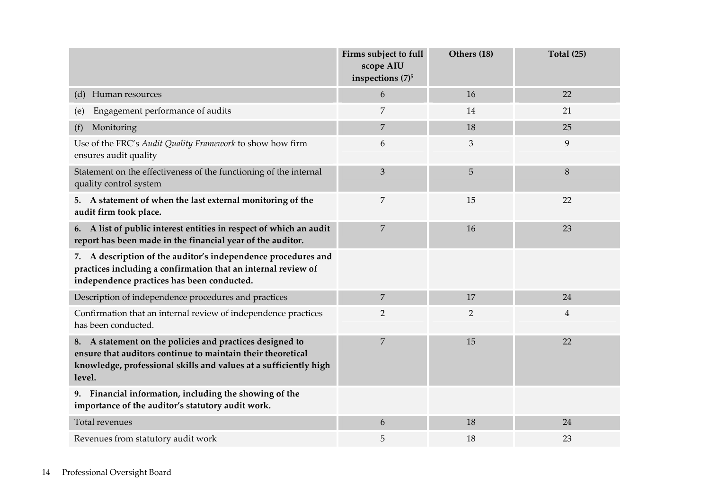|                                                                                                                                                                                                       | Firms subject to full<br>scope AIU<br>inspections (7) <sup>5</sup> | Others (18)    | <b>Total (25)</b> |
|-------------------------------------------------------------------------------------------------------------------------------------------------------------------------------------------------------|--------------------------------------------------------------------|----------------|-------------------|
| (d) Human resources                                                                                                                                                                                   | 6                                                                  | 16             | 22                |
| Engagement performance of audits<br>(e)                                                                                                                                                               | 7                                                                  | 14             | 21                |
| Monitoring<br>(f)                                                                                                                                                                                     | 7                                                                  | 18             | 25                |
| Use of the FRC's Audit Quality Framework to show how firm<br>ensures audit quality                                                                                                                    | 6                                                                  | 3              | 9                 |
| Statement on the effectiveness of the functioning of the internal<br>quality control system                                                                                                           | 3                                                                  | 5              | 8                 |
| A statement of when the last external monitoring of the<br>5.<br>audit firm took place.                                                                                                               | 7                                                                  | 15             | 22                |
| 6. A list of public interest entities in respect of which an audit<br>report has been made in the financial year of the auditor.                                                                      | 7                                                                  | 16             | 23                |
| 7. A description of the auditor's independence procedures and<br>practices including a confirmation that an internal review of<br>independence practices has been conducted.                          |                                                                    |                |                   |
| Description of independence procedures and practices                                                                                                                                                  | 7                                                                  | 17             | 24                |
| Confirmation that an internal review of independence practices<br>has been conducted.                                                                                                                 | $\overline{2}$                                                     | $\overline{2}$ | $\overline{4}$    |
| 8. A statement on the policies and practices designed to<br>ensure that auditors continue to maintain their theoretical<br>knowledge, professional skills and values at a sufficiently high<br>level. | 7                                                                  | 15             | 22                |
| 9. Financial information, including the showing of the<br>importance of the auditor's statutory audit work.                                                                                           |                                                                    |                |                   |
| Total revenues                                                                                                                                                                                        | 6                                                                  | 18             | 24                |
| Revenues from statutory audit work                                                                                                                                                                    | 5                                                                  | 18             | 23                |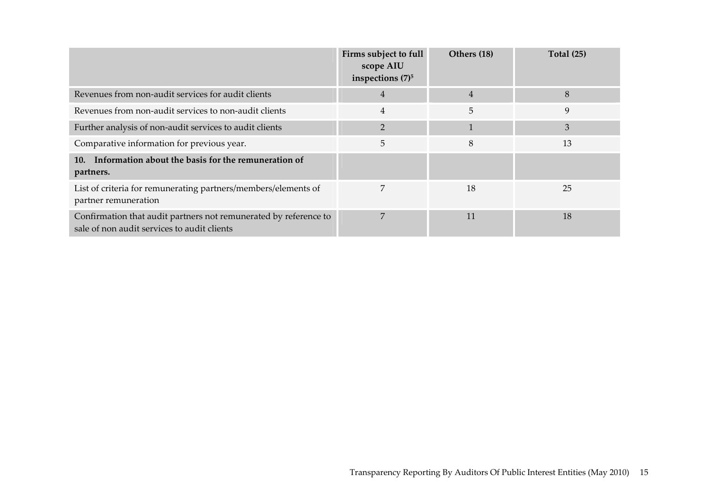|                                                                                                                 | Firms subject to full<br>scope AIU<br>inspections $(7)^5$ | Others (18)    | <b>Total (25)</b> |
|-----------------------------------------------------------------------------------------------------------------|-----------------------------------------------------------|----------------|-------------------|
| Revenues from non-audit services for audit clients                                                              | $\overline{4}$                                            | $\overline{4}$ | 8                 |
| Revenues from non-audit services to non-audit clients                                                           | $\overline{4}$                                            | 5              | 9                 |
| Further analysis of non-audit services to audit clients                                                         | $\overline{2}$                                            |                | 3                 |
| Comparative information for previous year.                                                                      | 5                                                         | 8              | 13                |
| Information about the basis for the remuneration of<br><b>10.</b><br>partners.                                  |                                                           |                |                   |
| List of criteria for remunerating partners/members/elements of<br>partner remuneration                          | 7                                                         | 18             | 25                |
| Confirmation that audit partners not remunerated by reference to<br>sale of non audit services to audit clients | $\overline{7}$                                            | 11             | 18                |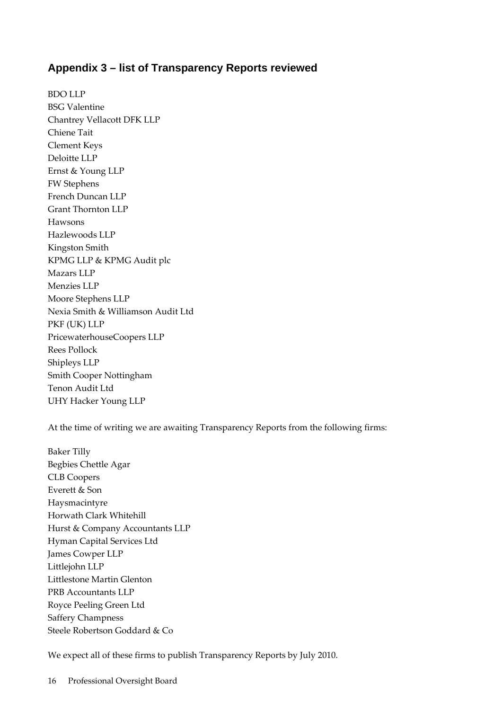## **Appendix 3 – list of Transparency Reports reviewed**

BDO LLP BSG Valentine Chantrey Vellacott DFK LLP Chiene Tait Clement Keys Deloitte LLP Ernst & Young LLP FW Stephens French Duncan LLP Grant Thornton LLP Hawsons Hazlewoods LLP Kingston Smith KPMG LLP & KPMG Audit plc Mazars LLP Menzies LLP Moore Stephens LLP Nexia Smith & Williamson Audit Ltd PKF (UK) LLP PricewaterhouseCoopers LLP Rees Pollock Shipleys LLP Smith Cooper Nottingham Tenon Audit Ltd UHY Hacker Young LLP

At the time of writing we are awaiting Transparency Reports from the following firms:

Baker Tilly Begbies Chettle Agar CLB Coopers Everett & Son Haysmacintyre Horwath Clark Whitehill Hurst & Company Accountants LLP Hyman Capital Services Ltd James Cowper LLP Littlejohn LLP Littlestone Martin Glenton PRB Accountants LLP Royce Peeling Green Ltd Saffery Champness Steele Robertson Goddard & Co

We expect all of these firms to publish Transparency Reports by July 2010.